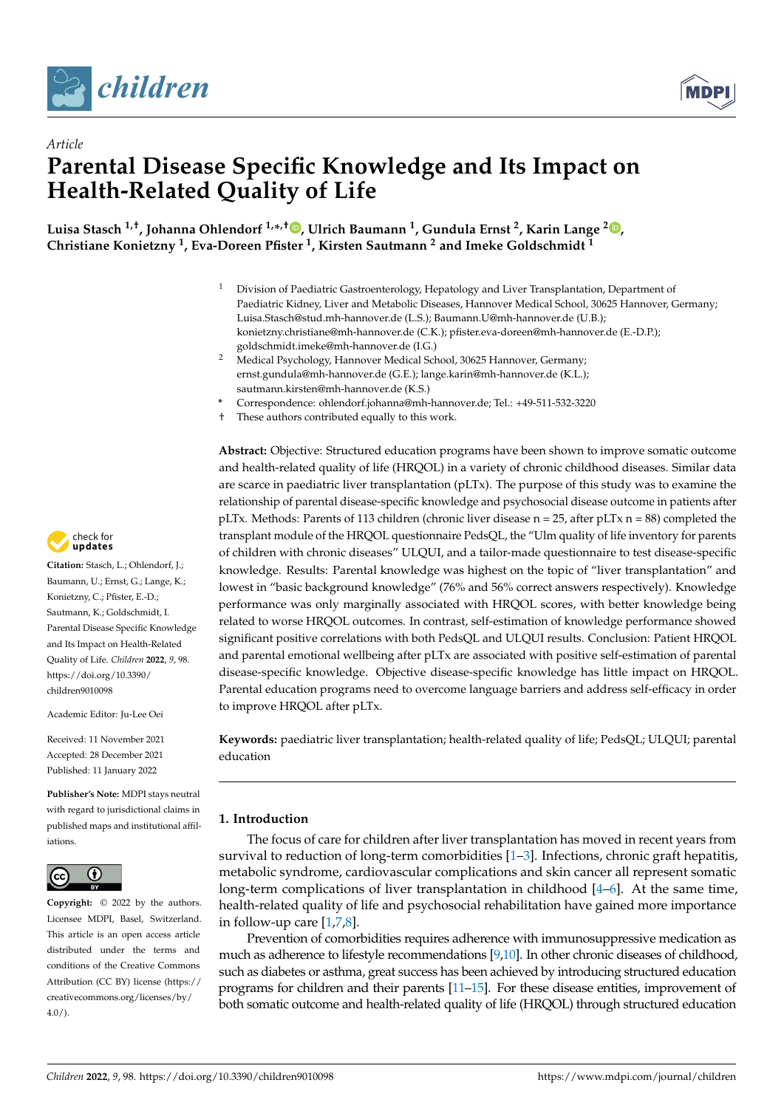



# *Article* **Parental Disease Specific Knowledge and Its Impact on Health-Related Quality of Life**

**Luisa Stasch 1,†, Johanna Ohlendorf 1,\* ,† , Ulrich Baumann <sup>1</sup> , Gundula Ernst <sup>2</sup> , Karin Lange <sup>2</sup> , Christiane Konietzny <sup>1</sup> , Eva-Doreen Pfister <sup>1</sup> , Kirsten Sautmann <sup>2</sup> and Imeke Goldschmidt <sup>1</sup>**

- <sup>1</sup> Division of Paediatric Gastroenterology, Hepatology and Liver Transplantation, Department of Paediatric Kidney, Liver and Metabolic Diseases, Hannover Medical School, 30625 Hannover, Germany; Luisa.Stasch@stud.mh-hannover.de (L.S.); Baumann.U@mh-hannover.de (U.B.); konietzny.christiane@mh-hannover.de (C.K.); pfister.eva-doreen@mh-hannover.de (E.-D.P.); goldschmidt.imeke@mh-hannover.de (I.G.)
- <sup>2</sup> Medical Psychology, Hannover Medical School, 30625 Hannover, Germany; ernst.gundula@mh-hannover.de (G.E.); lange.karin@mh-hannover.de (K.L.); sautmann.kirsten@mh-hannover.de (K.S.)
- **\*** Correspondence: ohlendorf.johanna@mh-hannover.de; Tel.: +49-511-532-3220
- † These authors contributed equally to this work.

**Abstract:** Objective: Structured education programs have been shown to improve somatic outcome and health-related quality of life (HRQOL) in a variety of chronic childhood diseases. Similar data are scarce in paediatric liver transplantation (pLTx). The purpose of this study was to examine the relationship of parental disease-specific knowledge and psychosocial disease outcome in patients after pLTx. Methods: Parents of 113 children (chronic liver disease  $n = 25$ , after pLTx  $n = 88$ ) completed the transplant module of the HRQOL questionnaire PedsQL, the "Ulm quality of life inventory for parents of children with chronic diseases" ULQUI, and a tailor-made questionnaire to test disease-specific knowledge. Results: Parental knowledge was highest on the topic of "liver transplantation" and lowest in "basic background knowledge" (76% and 56% correct answers respectively). Knowledge performance was only marginally associated with HRQOL scores, with better knowledge being related to worse HRQOL outcomes. In contrast, self-estimation of knowledge performance showed significant positive correlations with both PedsQL and ULQUI results. Conclusion: Patient HRQOL and parental emotional wellbeing after pLTx are associated with positive self-estimation of parental disease-specific knowledge. Objective disease-specific knowledge has little impact on HRQOL. Parental education programs need to overcome language barriers and address self-efficacy in order to improve HRQOL after pLTx.

**Keywords:** paediatric liver transplantation; health-related quality of life; PedsQL; ULQUI; parental education

# **1. Introduction**

The focus of care for children after liver transplantation has moved in recent years from survival to reduction of long-term comorbidities [1–3]. Infections, chronic graft hepatitis, metabolic syndrome, cardiovascular complications and skin cancer all represent somatic long-term complications of liver transplantation in childhood [4–6]. At the same time, health-related quality of life and psychosocial rehabilitation have gained more importance in follow-up care [1,7,8].

Prevention of comorbidities requires adherence with immunosuppressive medication as much as adherence to lifestyle recommendations [9,10]. In other chronic diseases of childhood, such as diabetes or asthma, great success has been achieved by introducing structured education programs for children and their parents [11–15]. For these disease entities, improvement of both somatic outcome and health-related quality of life (HRQOL) through structured education



**Citation:** Stasch, L.; Ohlendorf, J.; Baumann, U.; Ernst, G.; Lange, K.; Konietzny, C.; Pfister, E.-D.; Sautmann, K.; Goldschmidt, I. Parental Disease Specific Knowledge and Its Impact on Health-Related Quality of Life. *Children* **2022**, *9*, 98. https://doi.org/10.3390/ children9010098

Academic Editor: Ju-Lee Oei

Received: 11 November 2021 Accepted: 28 December 2021 Published: 11 January 2022

**Publisher's Note:** MDPI stays neutral with regard to jurisdictional claims in published maps and institutional affiliations.



**Copyright:** © 2022 by the authors. Licensee MDPI, Basel, Switzerland. This article is an open access article distributed under the terms and conditions of the Creative Commons Attribution (CC BY) license (https:// creativecommons.org/licenses/by/  $4.0/$ ).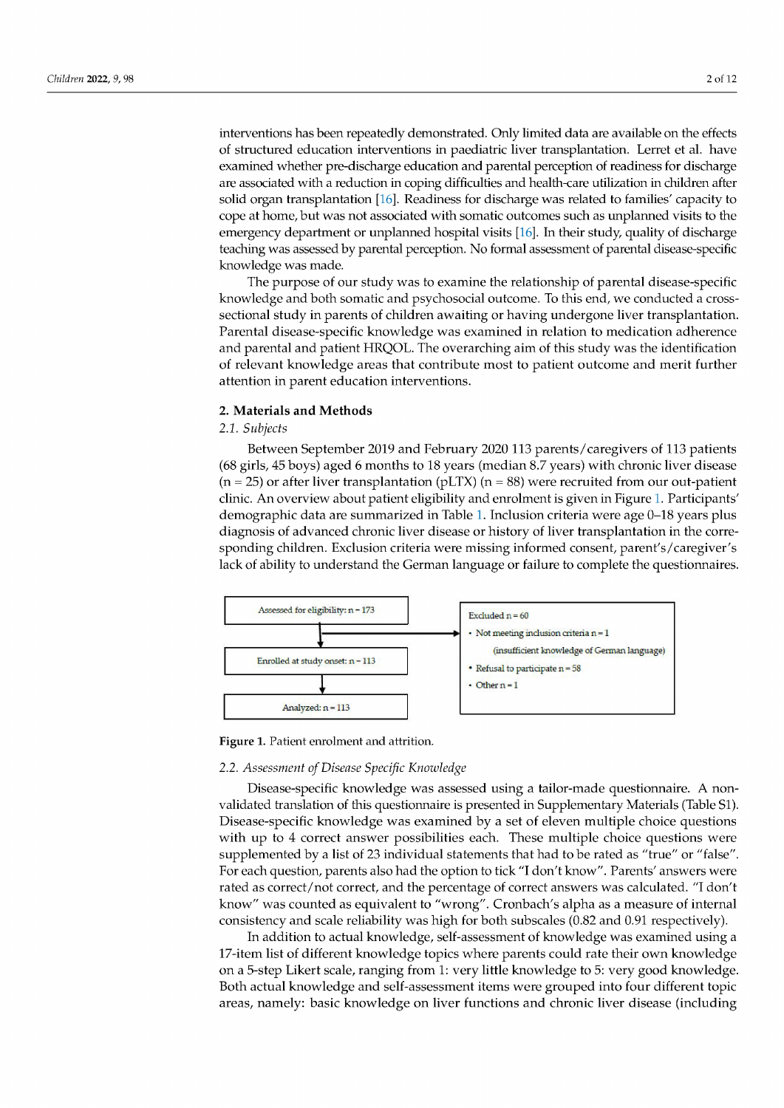interventions has been repeatedly demonstrated. Only limited data are available on the effects of structured education interventions in paediatric liver transplantation. Lerret et al. have examined whether pre-discharge education and parental perception of readiness for discharge are associated with a reduction in coping difficulties and health-care utilization in children after solid organ transplantation [16]. Readiness for discharge was related to families' capacity to cope at home, but was not associated with somatic outcomes such as unplanned visits to the emergency department or unplanned hospital visits  $[16]$ . In their study, quality of discharge teaching was assessed by parental perception. No formal assessment of parental disease-specific knowledge was made.

The purpose of our study was to examine the relationship of parental disease-specific knowledge and both somatic and psychosocial outcome. To this end, we conducted a crosssectional study in parents of children awaiting or having undergone liver transplantation. Parental disease-specific knowledge was examined in relation to medication adherence and parental and patient HRQOL. The overarching aim of this study was the identification of relevant knowledge areas that contribute most to patient outcome and merit further attention in parent education interventions.

# 2. Materials and Methods

# 2.1. Subjects

Between September 2019 and February 2020 113 parents/caregivers of 113 patients (68 girls, 45 boys) aged 6 months to 18 years (median 8.7 years) with chronic liver disease  $(n = 25)$  or after liver transplantation (pLTX)  $(n = 88)$  were recruited from our out-patient clinic. An overview about patient eligibility and enrolment is given in Figure 1. Participants' demographic data are summarized in Table 1. Inclusion criteria were age 0–18 years plus diagnosis of advanced chronic liver disease or history of liver transplantation in the corresponding children. Exclusion criteria were missing informed consent, parent's/caregiver's lack of ability to understand the German language or failure to complete the questionnaires.



Figure 1. Patient enrolment and attrition.

#### 2.2. Assessment of Disease Specific Knowledge

Disease-specific knowledge was assessed using a tailor-made questionnaire. A nonvalidated translation of this questionnaire is presented in Supplementary Materials (Table S1). Disease-specific knowledge was examined by a set of eleven multiple choice questions with up to 4 correct answer possibilities each. These multiple choice questions were supplemented by a list of 23 individual statements that had to be rated as "true" or "false". For each question, parents also had the option to tick "I don't know". Parents' answers were rated as correct/not correct, and the percentage of correct answers was calculated. "I don't know" was counted as equivalent to "wrong". Cronbach's alpha as a measure of internal consistency and scale reliability was high for both subscales (0.82 and 0.91 respectively).

In addition to actual knowledge, self-assessment of knowledge was examined using a 17-item list of different knowledge topics where parents could rate their own knowledge on a 5-step Likert scale, ranging from 1: very little knowledge to 5: very good knowledge. Both actual knowledge and self-assessment items were grouped into four different topic areas, namely: basic knowledge on liver functions and chronic liver disease (including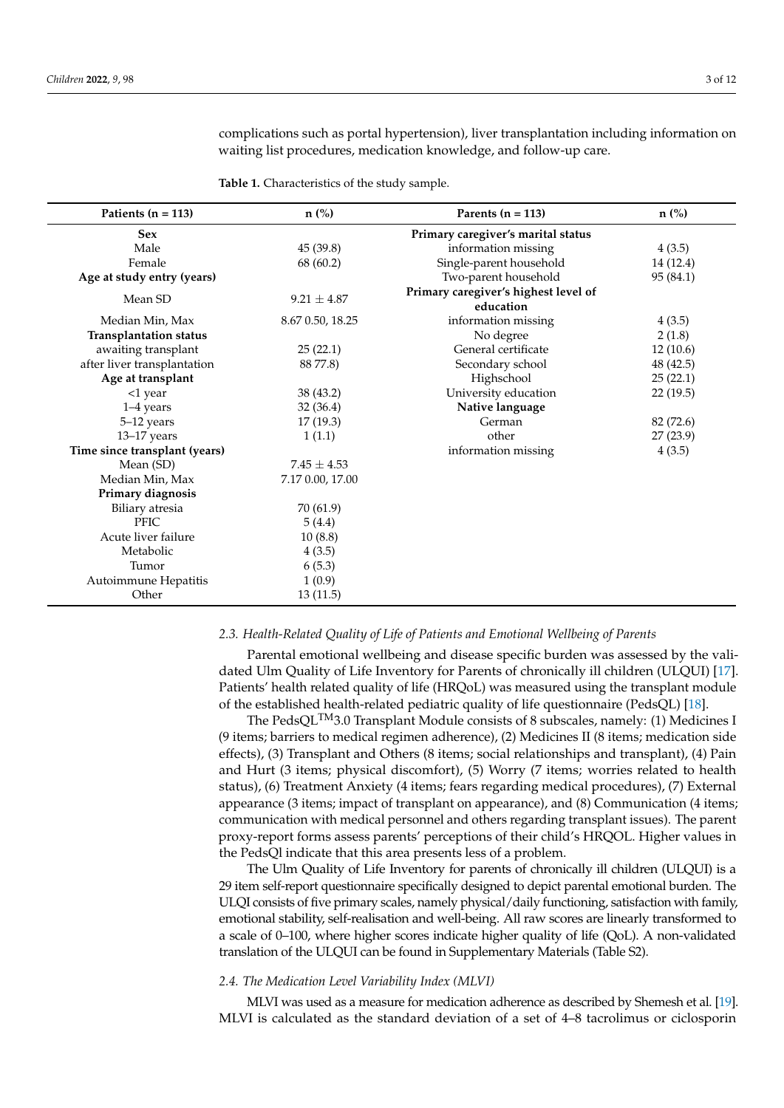complications such as portal hypertension), liver transplantation including information on waiting list procedures, medication knowledge, and follow-up care.

**Table 1.** Characteristics of the study sample.

| Patients ( $n = 113$ )        | $n$ (%)          | Parents $(n = 113)$                               | $n$ (%)   |
|-------------------------------|------------------|---------------------------------------------------|-----------|
| <b>Sex</b>                    |                  | Primary caregiver's marital status                |           |
| Male                          | 45(39.8)         | information missing                               | 4(3.5)    |
| Female                        | 68 (60.2)        | Single-parent household                           | 14 (12.4) |
| Age at study entry (years)    |                  | Two-parent household                              | 95 (84.1) |
| Mean SD                       | $9.21 \pm 4.87$  | Primary caregiver's highest level of<br>education |           |
| Median Min, Max               | 8.67 0.50, 18.25 | information missing                               | 4(3.5)    |
| <b>Transplantation status</b> |                  | No degree                                         | 2(1.8)    |
| awaiting transplant           | 25(22.1)         | General certificate                               | 12(10.6)  |
| after liver transplantation   | 88 77.8)         | Secondary school                                  | 48 (42.5) |
| Age at transplant             |                  | Highschool                                        | 25(22.1)  |
| <1 year                       | 38 (43.2)        | University education                              | 22(19.5)  |
| $1-4$ years                   | 32(36.4)         | Native language                                   |           |
| 5-12 years                    | 17(19.3)         | German                                            | 82 (72.6) |
| $13-17$ years                 | 1(1.1)           | other                                             | 27(23.9)  |
| Time since transplant (years) |                  | information missing                               | 4(3.5)    |
| Mean (SD)                     | $7.45 \pm 4.53$  |                                                   |           |
| Median Min, Max               | 7.17 0.00, 17.00 |                                                   |           |
| Primary diagnosis             |                  |                                                   |           |
| Biliary atresia               | 70 (61.9)        |                                                   |           |
| <b>PFIC</b>                   | 5(4.4)           |                                                   |           |
| Acute liver failure           | 10(8.8)          |                                                   |           |
| Metabolic                     | 4(3.5)           |                                                   |           |
| Tumor                         | 6(5.3)           |                                                   |           |
| Autoimmune Hepatitis          | 1(0.9)           |                                                   |           |
| Other                         | 13(11.5)         |                                                   |           |

#### *2.3. Health-Related Quality of Life of Patients and Emotional Wellbeing of Parents*

Parental emotional wellbeing and disease specific burden was assessed by the validated Ulm Quality of Life Inventory for Parents of chronically ill children (ULQUI) [17]. Patients' health related quality of life (HRQoL) was measured using the transplant module of the established health-related pediatric quality of life questionnaire (PedsQL) [18].

The PedsQL<sup>TM</sup>3.0 Transplant Module consists of 8 subscales, namely: (1) Medicines I (9 items; barriers to medical regimen adherence), (2) Medicines II (8 items; medication side effects), (3) Transplant and Others (8 items; social relationships and transplant), (4) Pain and Hurt (3 items; physical discomfort), (5) Worry (7 items; worries related to health status), (6) Treatment Anxiety (4 items; fears regarding medical procedures), (7) External appearance (3 items; impact of transplant on appearance), and (8) Communication (4 items; communication with medical personnel and others regarding transplant issues). The parent proxy-report forms assess parents' perceptions of their child's HRQOL. Higher values in the PedsQl indicate that this area presents less of a problem.

The Ulm Quality of Life Inventory for parents of chronically ill children (ULQUI) is a 29 item self-report questionnaire specifically designed to depict parental emotional burden. The ULQI consists of five primary scales, namely physical/daily functioning, satisfaction with family, emotional stability, self-realisation and well-being. All raw scores are linearly transformed to a scale of 0–100, where higher scores indicate higher quality of life (QoL). A non-validated translation of the ULQUI can be found in Supplementary Materials (Table S2).

# *2.4. The Medication Level Variability Index (MLVI)*

MLVI was used as a measure for medication adherence as described by Shemesh et al. [19]. MLVI is calculated as the standard deviation of a set of 4–8 tacrolimus or ciclosporin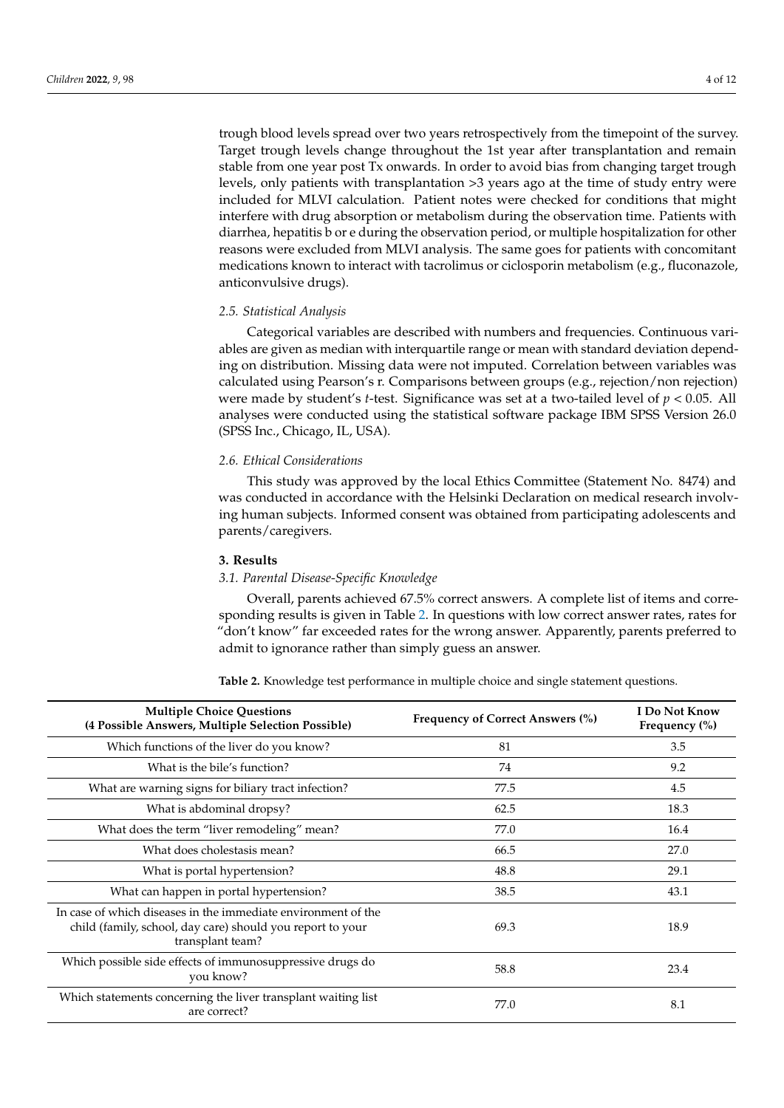trough blood levels spread over two years retrospectively from the timepoint of the survey. Target trough levels change throughout the 1st year after transplantation and remain stable from one year post Tx onwards. In order to avoid bias from changing target trough levels, only patients with transplantation >3 years ago at the time of study entry were included for MLVI calculation. Patient notes were checked for conditions that might interfere with drug absorption or metabolism during the observation time. Patients with diarrhea, hepatitis b or e during the observation period, or multiple hospitalization for other reasons were excluded from MLVI analysis. The same goes for patients with concomitant medications known to interact with tacrolimus or ciclosporin metabolism (e.g., fluconazole, anticonvulsive drugs).

# *2.5. Statistical Analysis*

Categorical variables are described with numbers and frequencies. Continuous variables are given as median with interquartile range or mean with standard deviation depending on distribution. Missing data were not imputed. Correlation between variables was calculated using Pearson's r. Comparisons between groups (e.g., rejection/non rejection) were made by student's *t*-test. Significance was set at a two-tailed level of *p* < 0.05. All analyses were conducted using the statistical software package IBM SPSS Version 26.0 (SPSS Inc., Chicago, IL, USA).

# *2.6. Ethical Considerations*

This study was approved by the local Ethics Committee (Statement No. 8474) and was conducted in accordance with the Helsinki Declaration on medical research involving human subjects. Informed consent was obtained from participating adolescents and parents/caregivers.

#### **3. Results**

#### *3.1. Parental Disease-Specific Knowledge*

Overall, parents achieved 67.5% correct answers. A complete list of items and corresponding results is given in Table 2. In questions with low correct answer rates, rates for "don't know" far exceeded rates for the wrong answer. Apparently, parents preferred to admit to ignorance rather than simply guess an answer.

**Table 2.** Knowledge test performance in multiple choice and single statement questions.

| <b>Multiple Choice Questions</b><br>(4 Possible Answers, Multiple Selection Possible)                                                           | <b>Frequency of Correct Answers (%)</b> | I Do Not Know<br>Frequency $(\% )$ |
|-------------------------------------------------------------------------------------------------------------------------------------------------|-----------------------------------------|------------------------------------|
| Which functions of the liver do you know?                                                                                                       | 81                                      | 3.5                                |
| What is the bile's function?                                                                                                                    | 74                                      | 9.2                                |
| What are warning signs for biliary tract infection?                                                                                             | 77.5                                    | 4.5                                |
| What is abdominal dropsy?                                                                                                                       | 62.5                                    | 18.3                               |
| What does the term "liver remodeling" mean?                                                                                                     | 77.0                                    | 16.4                               |
| What does cholestasis mean?                                                                                                                     | 66.5                                    | 27.0                               |
| What is portal hypertension?                                                                                                                    | 48.8                                    | 29.1                               |
| What can happen in portal hypertension?                                                                                                         | 38.5                                    | 43.1                               |
| In case of which diseases in the immediate environment of the<br>child (family, school, day care) should you report to your<br>transplant team? | 69.3                                    | 18.9                               |
| Which possible side effects of immunosuppressive drugs do<br>you know?                                                                          | 58.8                                    | 23.4                               |
| Which statements concerning the liver transplant waiting list<br>are correct?                                                                   | 77.0                                    | 8.1                                |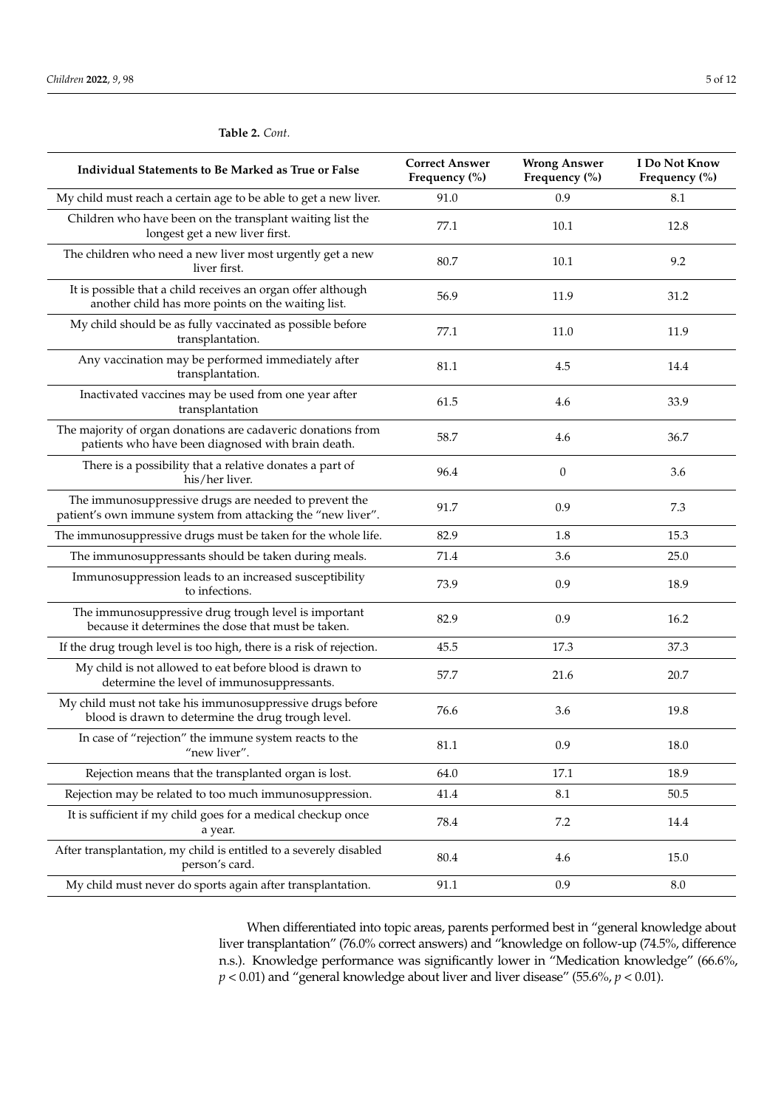| Individual Statements to Be Marked as True or False                                                                  | <b>Correct Answer</b><br>Frequency (%) | <b>Wrong Answer</b><br>Frequency (%) | I Do Not Know<br>Frequency (%) |
|----------------------------------------------------------------------------------------------------------------------|----------------------------------------|--------------------------------------|--------------------------------|
| My child must reach a certain age to be able to get a new liver.                                                     | 91.0                                   | 0.9                                  | 8.1                            |
| Children who have been on the transplant waiting list the<br>longest get a new liver first.                          | 77.1                                   | 10.1                                 | 12.8                           |
| The children who need a new liver most urgently get a new<br>liver first.                                            | 80.7                                   | 10.1                                 | 9.2                            |
| It is possible that a child receives an organ offer although<br>another child has more points on the waiting list.   | 56.9                                   | 11.9                                 | 31.2                           |
| My child should be as fully vaccinated as possible before<br>transplantation.                                        | 77.1                                   | 11.0                                 | 11.9                           |
| Any vaccination may be performed immediately after<br>transplantation.                                               | 81.1                                   | 4.5                                  | 14.4                           |
| Inactivated vaccines may be used from one year after<br>transplantation                                              | 61.5                                   | 4.6                                  | 33.9                           |
| The majority of organ donations are cadaveric donations from<br>patients who have been diagnosed with brain death.   | 58.7                                   | 4.6                                  | 36.7                           |
| There is a possibility that a relative donates a part of<br>his/her liver.                                           | 96.4                                   | $\theta$                             | 3.6                            |
| The immunosuppressive drugs are needed to prevent the<br>patient's own immune system from attacking the "new liver". | 91.7                                   | 0.9                                  | 7.3                            |
| The immunosuppressive drugs must be taken for the whole life.                                                        | 82.9                                   | 1.8                                  | 15.3                           |
| The immunosuppressants should be taken during meals.                                                                 | 71.4                                   | 3.6                                  | 25.0                           |
| Immunosuppression leads to an increased susceptibility<br>to infections.                                             | 73.9                                   | 0.9                                  | 18.9                           |
| The immunosuppressive drug trough level is important<br>because it determines the dose that must be taken.           | 82.9                                   | 0.9                                  | 16.2                           |
| If the drug trough level is too high, there is a risk of rejection.                                                  | 45.5                                   | 17.3                                 | 37.3                           |
| My child is not allowed to eat before blood is drawn to<br>determine the level of immunosuppressants.                | 57.7                                   | 21.6                                 | 20.7                           |
| My child must not take his immunosuppressive drugs before<br>blood is drawn to determine the drug trough level.      | 76.6                                   | 3.6                                  | 19.8                           |
| In case of "rejection" the immune system reacts to the<br>"new liver".                                               | 81.1                                   | 0.9                                  | 18.0                           |
| Rejection means that the transplanted organ is lost.                                                                 | 64.0                                   | 17.1                                 | 18.9                           |
| Rejection may be related to too much immunosuppression.                                                              | 41.4                                   | 8.1                                  | 50.5                           |
| It is sufficient if my child goes for a medical checkup once<br>a year.                                              | 78.4                                   | 7.2                                  | 14.4                           |
| After transplantation, my child is entitled to a severely disabled<br>person's card.                                 | $80.4\,$                               | 4.6                                  | 15.0                           |
| My child must never do sports again after transplantation.                                                           | 91.1                                   | 0.9                                  | 8.0                            |

#### **Table 2.** *Cont.*

When differentiated into topic areas, parents performed best in "general knowledge about liver transplantation" (76.0% correct answers) and "knowledge on follow-up (74.5%, difference n.s.). Knowledge performance was significantly lower in "Medication knowledge" (66.6%, *p* < 0.01) and "general knowledge about liver and liver disease" (55.6%, *p* < 0.01).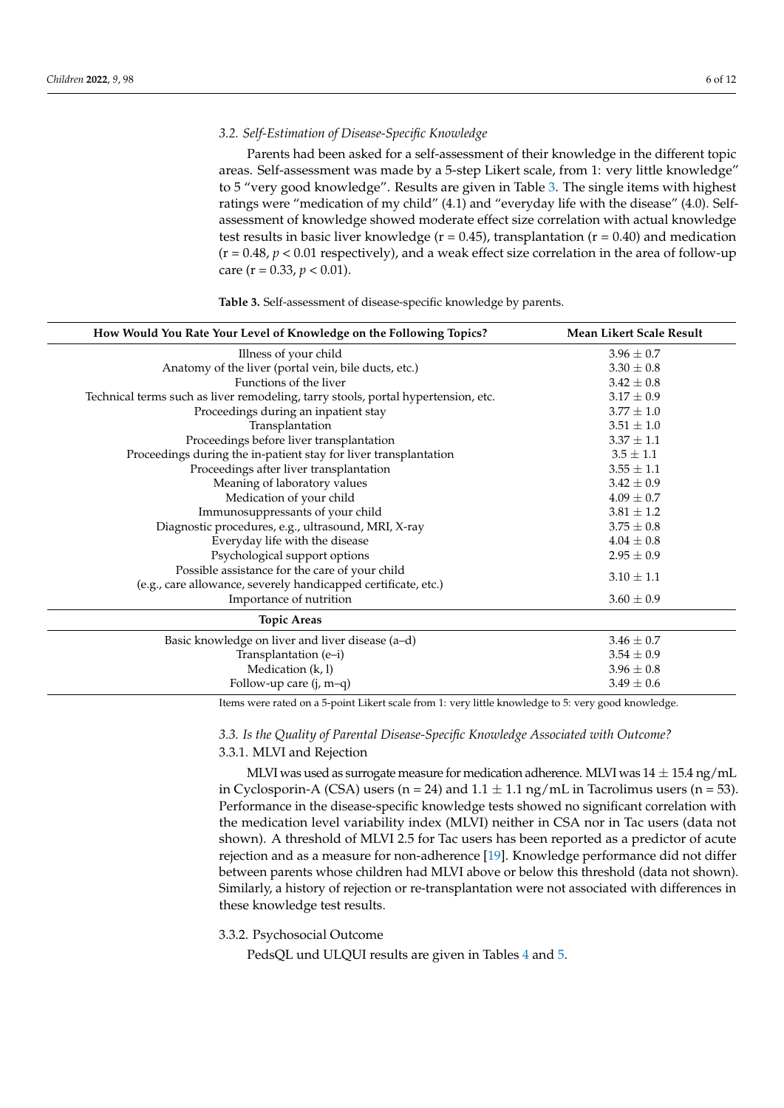# *3.2. Self-Estimation of Disease-Specific Knowledge*

Parents had been asked for a self-assessment of their knowledge in the different topic areas. Self-assessment was made by a 5-step Likert scale, from 1: very little knowledge" to 5 "very good knowledge". Results are given in Table 3. The single items with highest ratings were "medication of my child" (4.1) and "everyday life with the disease" (4.0). Selfassessment of knowledge showed moderate effect size correlation with actual knowledge test results in basic liver knowledge ( $r = 0.45$ ), transplantation ( $r = 0.40$ ) and medication  $(r = 0.48, p < 0.01$  respectively), and a weak effect size correlation in the area of follow-up care  $(r = 0.33, p < 0.01)$ .

**Table 3.** Self-assessment of disease-specific knowledge by parents.

| How Would You Rate Your Level of Knowledge on the Following Topics?                                              | Mean Likert Scale Result |
|------------------------------------------------------------------------------------------------------------------|--------------------------|
| Illness of your child                                                                                            | $3.96 \pm 0.7$           |
| Anatomy of the liver (portal vein, bile ducts, etc.)                                                             | $3.30 \pm 0.8$           |
| Functions of the liver                                                                                           | $3.42 \pm 0.8$           |
| Technical terms such as liver remodeling, tarry stools, portal hypertension, etc.                                | $3.17 \pm 0.9$           |
| Proceedings during an inpatient stay                                                                             | $3.77 \pm 1.0$           |
| Transplantation                                                                                                  | $3.51 \pm 1.0$           |
| Proceedings before liver transplantation                                                                         | $3.37 \pm 1.1$           |
| Proceedings during the in-patient stay for liver transplantation                                                 | $3.5 \pm 1.1$            |
| Proceedings after liver transplantation                                                                          | $3.55 \pm 1.1$           |
| Meaning of laboratory values                                                                                     | $3.42 \pm 0.9$           |
| Medication of your child                                                                                         | $4.09 \pm 0.7$           |
| Immunosuppressants of your child                                                                                 | $3.81 \pm 1.2$           |
| Diagnostic procedures, e.g., ultrasound, MRI, X-ray                                                              | $3.75 \pm 0.8$           |
| Everyday life with the disease                                                                                   | $4.04 \pm 0.8$           |
| Psychological support options                                                                                    | $2.95 \pm 0.9$           |
| Possible assistance for the care of your child<br>(e.g., care allowance, severely handicapped certificate, etc.) | $3.10 \pm 1.1$           |
| Importance of nutrition                                                                                          | $3.60 \pm 0.9$           |
| <b>Topic Areas</b>                                                                                               |                          |
| Basic knowledge on liver and liver disease (a-d)                                                                 | $3.46 \pm 0.7$           |
| Transplantation (e-i)                                                                                            | $3.54 \pm 0.9$           |
| Medication (k, l)                                                                                                | $3.96 \pm 0.8$           |
| Follow-up care $(i, m-q)$                                                                                        | $3.49 \pm 0.6$           |

Items were rated on a 5-point Likert scale from 1: very little knowledge to 5: very good knowledge.

# *3.3. Is the Quality of Parental Disease-Specific Knowledge Associated with Outcome?* 3.3.1. MLVI and Rejection

MLVI was used as surrogate measure for medication adherence. MLVI was  $14 \pm 15.4$  ng/mL in Cyclosporin-A (CSA) users (n = 24) and  $1.1 \pm 1.1$  ng/mL in Tacrolimus users (n = 53). Performance in the disease-specific knowledge tests showed no significant correlation with the medication level variability index (MLVI) neither in CSA nor in Tac users (data not shown). A threshold of MLVI 2.5 for Tac users has been reported as a predictor of acute rejection and as a measure for non-adherence [19]. Knowledge performance did not differ between parents whose children had MLVI above or below this threshold (data not shown). Similarly, a history of rejection or re-transplantation were not associated with differences in these knowledge test results.

3.3.2. Psychosocial Outcome

PedsQL und ULQUI results are given in Tables 4 and 5.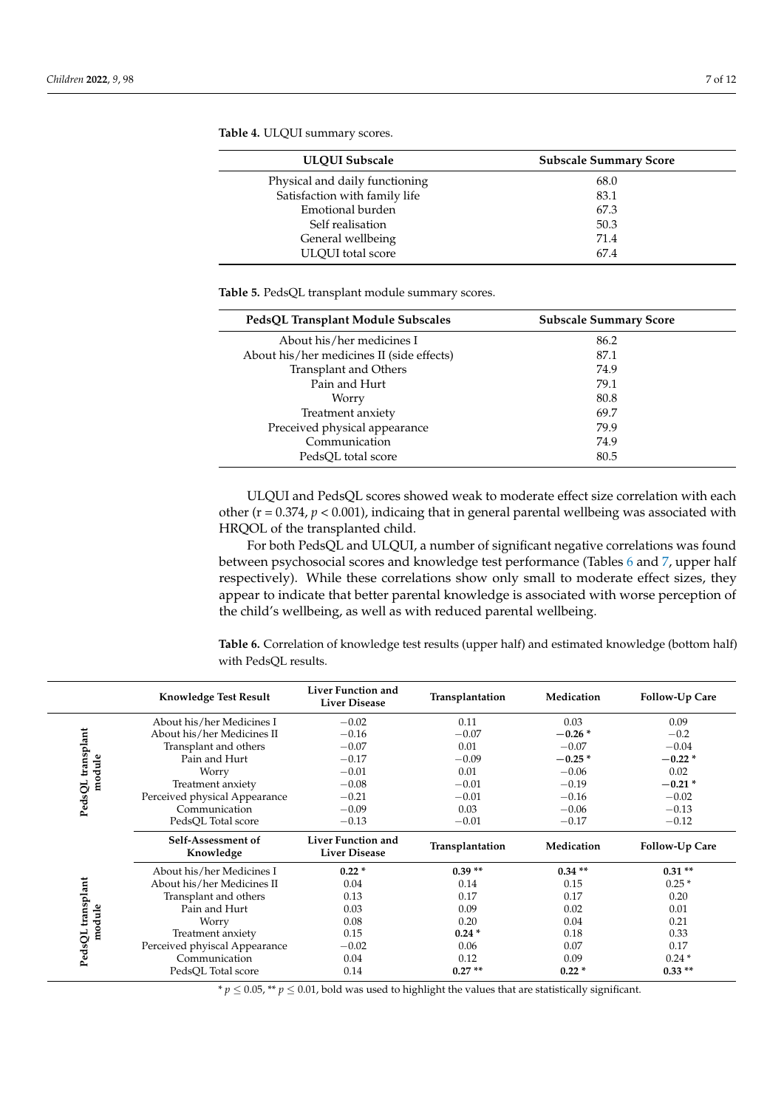| <b>ULQUI Subscale</b>          | <b>Subscale Summary Score</b> |
|--------------------------------|-------------------------------|
| Physical and daily functioning | 68.0                          |
| Satisfaction with family life  | 83.1                          |
| Emotional burden               | 67.3                          |
| Self realisation               | 50.3                          |
| General wellbeing              | 71.4                          |
| <b>ULOUI</b> total score       | 67.4                          |

**Table 4.** ULQUI summary scores.

 $\overline{a}$ 

**Table 5.** PedsQL transplant module summary scores.

| PedsQL Transplant Module Subscales        | <b>Subscale Summary Score</b> |
|-------------------------------------------|-------------------------------|
| About his/her medicines I                 | 86.2                          |
| About his/her medicines II (side effects) | 87.1                          |
| Transplant and Others                     | 74.9                          |
| Pain and Hurt                             | 79.1                          |
| Worry                                     | 80.8                          |
| Treatment anxiety                         | 69.7                          |
| Preceived physical appearance             | 79.9                          |
| Communication                             | 74.9                          |
| PedsOL total score                        | 80.5                          |

ULQUI and PedsQL scores showed weak to moderate effect size correlation with each other (r = 0.374, *p* < 0.001), indicaing that in general parental wellbeing was associated with HRQOL of the transplanted child.

For both PedsQL and ULQUI, a number of significant negative correlations was found between psychosocial scores and knowledge test performance (Tables 6 and 7, upper half respectively). While these correlations show only small to moderate effect sizes, they appear to indicate that better parental knowledge is associated with worse perception of the child's wellbeing, as well as with reduced parental wellbeing.

**Table 6.** Correlation of knowledge test results (upper half) and estimated knowledge (bottom half) with PedsQL results.

|                   | <b>Knowledge Test Result</b>    | <b>Liver Function and</b><br><b>Liver Disease</b> | Transplantation | Medication | Follow-Up Care        |
|-------------------|---------------------------------|---------------------------------------------------|-----------------|------------|-----------------------|
|                   | About his/her Medicines I       | $-0.02$                                           | 0.11            | 0.03       | 0.09                  |
|                   | About his/her Medicines II      | $-0.16$                                           | $-0.07$         | $-0.26*$   | $-0.2$                |
| PedsQL transplant | Transplant and others           | $-0.07$                                           | 0.01            | $-0.07$    | $-0.04$               |
|                   | Pain and Hurt                   | $-0.17$                                           | $-0.09$         | $-0.25*$   | $-0.22*$              |
| module            | Worry                           | $-0.01$                                           | 0.01            | $-0.06$    | 0.02                  |
|                   | Treatment anxiety               | $-0.08$                                           | $-0.01$         | $-0.19$    | $-0.21*$              |
|                   | Perceived physical Appearance   | $-0.21$                                           | $-0.01$         | $-0.16$    | $-0.02$               |
|                   | Communication                   | $-0.09$                                           | 0.03            | $-0.06$    | $-0.13$               |
|                   | PedsQL Total score              | $-0.13$                                           | $-0.01$         | $-0.17$    | $-0.12$               |
|                   | Self-Assessment of<br>Knowledge | <b>Liver Function and</b><br><b>Liver Disease</b> | Transplantation | Medication | <b>Follow-Up Care</b> |
|                   | About his/her Medicines I       | $0.22*$                                           | $0.39**$        | $0.34**$   | $0.31**$              |
| PedsQL transplant | About his/her Medicines II      | 0.04                                              | 0.14            | 0.15       | $0.25*$               |
|                   | Transplant and others           | 0.13                                              | 0.17            | 0.17       | 0.20                  |
|                   | Pain and Hurt                   | 0.03                                              | 0.09            | 0.02       | 0.01                  |
| module            | Worry                           | 0.08                                              | 0.20            | 0.04       | 0.21                  |
|                   | Treatment anxiety               | 0.15                                              | $0.24*$         | 0.18       | 0.33                  |
|                   | Perceived phyiscal Appearance   | $-0.02$                                           | 0.06            | 0.07       | 0.17                  |
|                   |                                 |                                                   |                 |            |                       |
|                   | Communication                   | 0.04                                              | 0.12            | 0.09       | $0.24*$               |

*\**  $p$  ≤ 0.05, *\*\**  $p$  ≤ 0.01, bold was used to highlight the values that are statistically significant.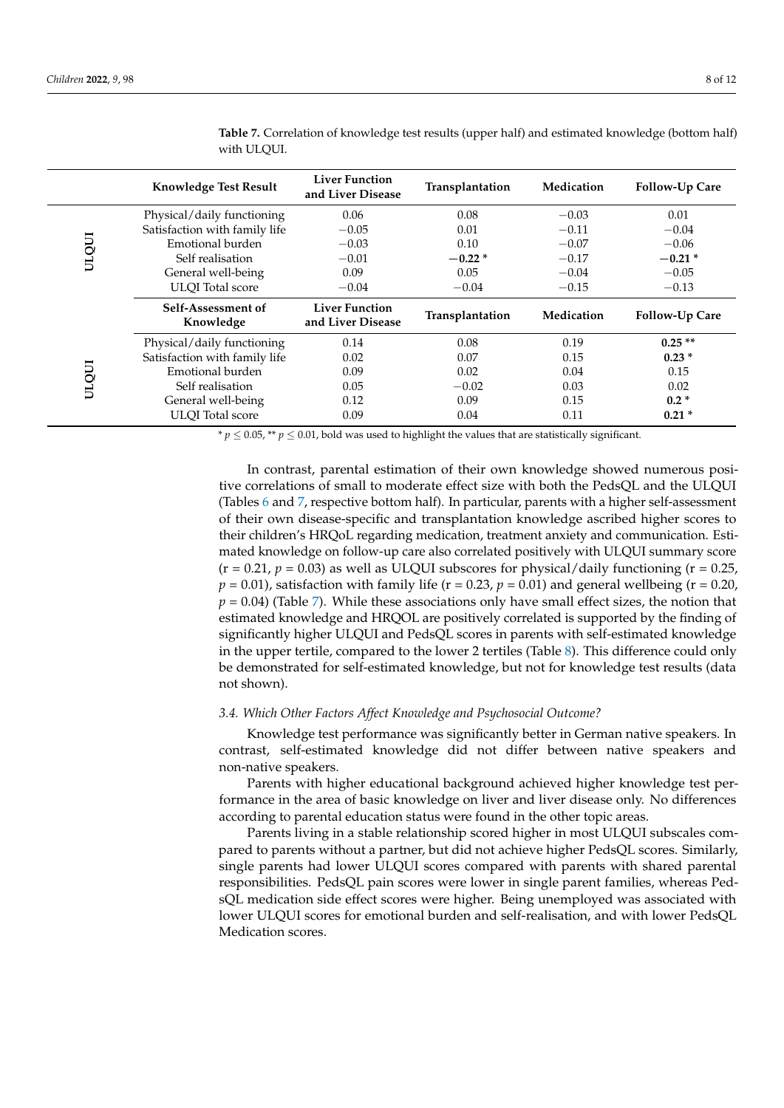|       | <b>Knowledge Test Result</b>    | <b>Liver Function</b><br>and Liver Disease | Transplantation | Medication | Follow-Up Care |
|-------|---------------------------------|--------------------------------------------|-----------------|------------|----------------|
|       | Physical/daily functioning      | 0.06                                       | 0.08            | $-0.03$    | 0.01           |
|       | Satisfaction with family life   | $-0.05$                                    | 0.01            | $-0.11$    | $-0.04$        |
|       | Emotional burden                | $-0.03$                                    | 0.10            | $-0.07$    | $-0.06$        |
| ULQUI | Self realisation                | $-0.01$                                    | $-0.22*$        | $-0.17$    | $-0.21*$       |
|       | General well-being              | 0.09                                       | 0.05            | $-0.04$    | $-0.05$        |
|       | <b>ULOI</b> Total score         | $-0.04$                                    | $-0.04$         | $-0.15$    | $-0.13$        |
|       | Self-Assessment of<br>Knowledge | <b>Liver Function</b><br>and Liver Disease | Transplantation | Medication | Follow-Up Care |
| ULQUI | Physical/daily functioning      | 0.14                                       | 0.08            | 0.19       | $0.25**$       |
|       | Satisfaction with family life   | 0.02                                       | 0.07            | 0.15       | $0.23*$        |
|       | Emotional burden                | 0.09                                       | 0.02            | 0.04       | 0.15           |
|       |                                 |                                            |                 |            |                |
|       | Self realisation                | 0.05                                       | $-0.02$         | 0.03       | 0.02           |
|       | General well-being              | 0.12                                       | 0.09            | 0.15       | $0.2*$         |

**Table 7.** Correlation of knowledge test results (upper half) and estimated knowledge (bottom half) with ULQUI.

*\* p* ≤ 0.05, <sup>\*\*</sup> *p* ≤ 0.01, bold was used to highlight the values that are statistically significant.

In contrast, parental estimation of their own knowledge showed numerous positive correlations of small to moderate effect size with both the PedsQL and the ULQUI (Tables 6 and 7, respective bottom half). In particular, parents with a higher self-assessment of their own disease-specific and transplantation knowledge ascribed higher scores to their children's HRQoL regarding medication, treatment anxiety and communication. Estimated knowledge on follow-up care also correlated positively with ULQUI summary score  $(r = 0.21, p = 0.03)$  as well as ULQUI subscores for physical/daily functioning  $(r = 0.25, p = 0.03)$  $p = 0.01$ ), satisfaction with family life ( $r = 0.23$ ,  $p = 0.01$ ) and general wellbeing ( $r = 0.20$ ,  $p = 0.04$ ) (Table 7). While these associations only have small effect sizes, the notion that estimated knowledge and HRQOL are positively correlated is supported by the finding of significantly higher ULQUI and PedsQL scores in parents with self-estimated knowledge in the upper tertile, compared to the lower 2 tertiles (Table 8). This difference could only be demonstrated for self-estimated knowledge, but not for knowledge test results (data not shown).

#### *3.4. Which Other Factors Affect Knowledge and Psychosocial Outcome?*

Knowledge test performance was significantly better in German native speakers. In contrast, self-estimated knowledge did not differ between native speakers and non-native speakers.

Parents with higher educational background achieved higher knowledge test performance in the area of basic knowledge on liver and liver disease only. No differences according to parental education status were found in the other topic areas.

Parents living in a stable relationship scored higher in most ULQUI subscales compared to parents without a partner, but did not achieve higher PedsQL scores. Similarly, single parents had lower ULQUI scores compared with parents with shared parental responsibilities. PedsQL pain scores were lower in single parent families, whereas PedsQL medication side effect scores were higher. Being unemployed was associated with lower ULQUI scores for emotional burden and self-realisation, and with lower PedsQL Medication scores.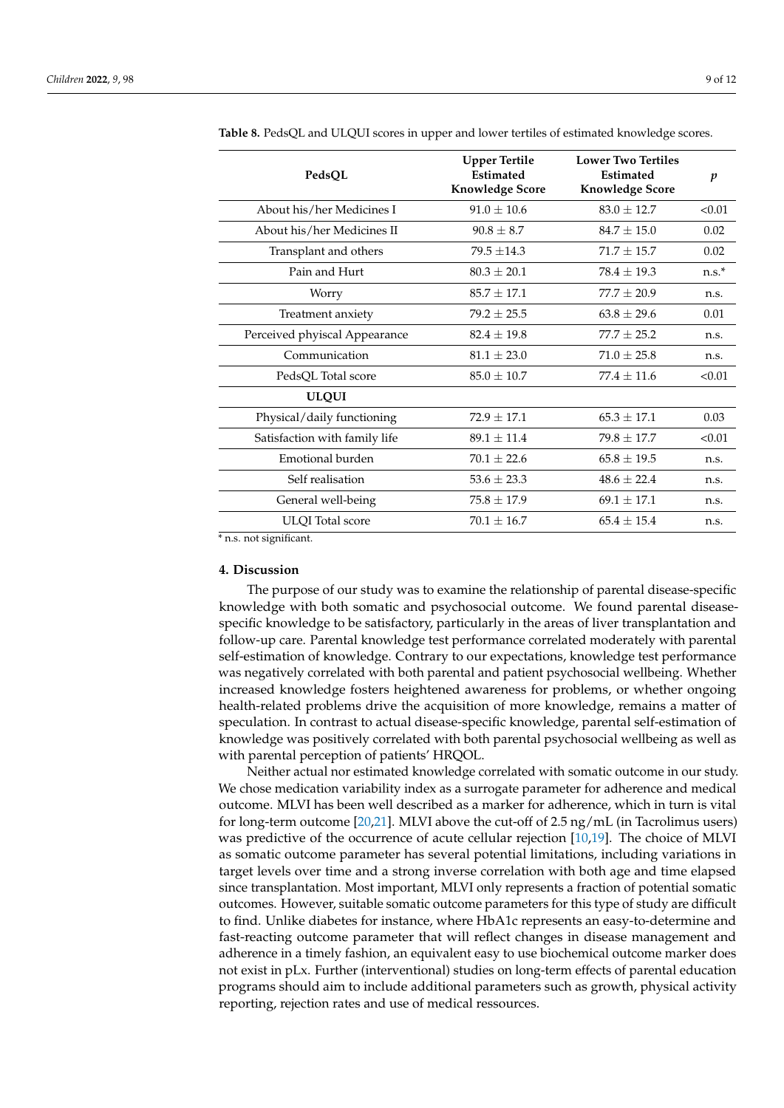| PedsQL                        | <b>Upper Tertile</b><br><b>Estimated</b><br><b>Knowledge Score</b> | <b>Lower Two Tertiles</b><br><b>Estimated</b><br><b>Knowledge Score</b> | p       |
|-------------------------------|--------------------------------------------------------------------|-------------------------------------------------------------------------|---------|
| About his/her Medicines I     | $91.0 \pm 10.6$                                                    | $83.0 + 12.7$                                                           | < 0.01  |
| About his/her Medicines II    | $90.8 \pm 8.7$                                                     | $84.7 + 15.0$                                                           | 0.02    |
| Transplant and others         | $79.5 + 14.3$                                                      | $71.7 + 15.7$                                                           | 0.02    |
| Pain and Hurt                 | $80.3 \pm 20.1$                                                    | $78.4 + 19.3$                                                           | $n.s.*$ |
| Worry                         | $85.7 + 17.1$                                                      | $77.7 + 20.9$                                                           | n.s.    |
| Treatment anxiety             | $79.2 + 25.5$                                                      | $63.8 + 29.6$                                                           | 0.01    |
| Perceived phyiscal Appearance | $82.4 \pm 19.8$                                                    | $77.7 \pm 25.2$                                                         | n.s.    |
| Communication                 | $81.1 + 23.0$                                                      | $71.0 + 25.8$                                                           | n.s.    |
| PedsQL Total score            | $85.0 \pm 10.7$                                                    | $77.4 + 11.6$                                                           | < 0.01  |
| <b>ULQUI</b>                  |                                                                    |                                                                         |         |
| Physical/daily functioning    | $72.9 + 17.1$                                                      | $65.3 \pm 17.1$                                                         | 0.03    |
| Satisfaction with family life | $89.1 \pm 11.4$                                                    | $79.8 \pm 17.7$                                                         | < 0.01  |
| Emotional burden              | $70.1 \pm 22.6$                                                    | $65.8 \pm 19.5$                                                         | n.s.    |
| Self realisation              | $53.6 \pm 23.3$                                                    | $48.6 + 22.4$                                                           | n.s.    |
| General well-being            | $75.8 \pm 17.9$                                                    | $69.1 \pm 17.1$                                                         | n.s.    |
| <b>ULQI</b> Total score       | $70.1 \pm 16.7$                                                    | $65.4 + 15.4$                                                           | n.s.    |

**Table 8.** PedsQL and ULQUI scores in upper and lower tertiles of estimated knowledge scores.

\* n.s. not significant.

# **4. Discussion**

The purpose of our study was to examine the relationship of parental disease-specific knowledge with both somatic and psychosocial outcome. We found parental diseasespecific knowledge to be satisfactory, particularly in the areas of liver transplantation and follow-up care. Parental knowledge test performance correlated moderately with parental self-estimation of knowledge. Contrary to our expectations, knowledge test performance was negatively correlated with both parental and patient psychosocial wellbeing. Whether increased knowledge fosters heightened awareness for problems, or whether ongoing health-related problems drive the acquisition of more knowledge, remains a matter of speculation. In contrast to actual disease-specific knowledge, parental self-estimation of knowledge was positively correlated with both parental psychosocial wellbeing as well as with parental perception of patients' HRQOL.

Neither actual nor estimated knowledge correlated with somatic outcome in our study. We chose medication variability index as a surrogate parameter for adherence and medical outcome. MLVI has been well described as a marker for adherence, which in turn is vital for long-term outcome [20,21]. MLVI above the cut-off of 2.5 ng/mL (in Tacrolimus users) was predictive of the occurrence of acute cellular rejection [10,19]. The choice of MLVI as somatic outcome parameter has several potential limitations, including variations in target levels over time and a strong inverse correlation with both age and time elapsed since transplantation. Most important, MLVI only represents a fraction of potential somatic outcomes. However, suitable somatic outcome parameters for this type of study are difficult to find. Unlike diabetes for instance, where HbA1c represents an easy-to-determine and fast-reacting outcome parameter that will reflect changes in disease management and adherence in a timely fashion, an equivalent easy to use biochemical outcome marker does not exist in pLx. Further (interventional) studies on long-term effects of parental education programs should aim to include additional parameters such as growth, physical activity reporting, rejection rates and use of medical ressources.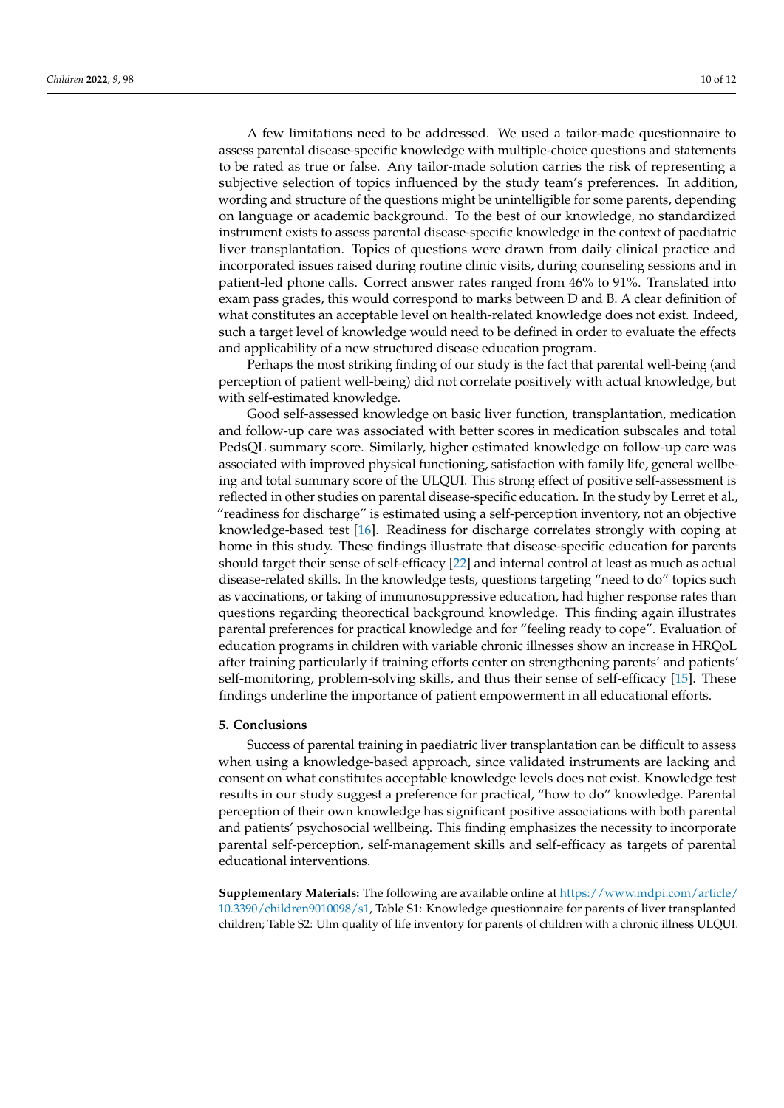A few limitations need to be addressed. We used a tailor-made questionnaire to assess parental disease-specific knowledge with multiple-choice questions and statements to be rated as true or false. Any tailor-made solution carries the risk of representing a subjective selection of topics influenced by the study team's preferences. In addition, wording and structure of the questions might be unintelligible for some parents, depending on language or academic background. To the best of our knowledge, no standardized instrument exists to assess parental disease-specific knowledge in the context of paediatric liver transplantation. Topics of questions were drawn from daily clinical practice and incorporated issues raised during routine clinic visits, during counseling sessions and in patient-led phone calls. Correct answer rates ranged from 46% to 91%. Translated into exam pass grades, this would correspond to marks between D and B. A clear definition of what constitutes an acceptable level on health-related knowledge does not exist. Indeed, such a target level of knowledge would need to be defined in order to evaluate the effects and applicability of a new structured disease education program.

Perhaps the most striking finding of our study is the fact that parental well-being (and perception of patient well-being) did not correlate positively with actual knowledge, but with self-estimated knowledge.

Good self-assessed knowledge on basic liver function, transplantation, medication and follow-up care was associated with better scores in medication subscales and total PedsQL summary score. Similarly, higher estimated knowledge on follow-up care was associated with improved physical functioning, satisfaction with family life, general wellbeing and total summary score of the ULQUI. This strong effect of positive self-assessment is reflected in other studies on parental disease-specific education. In the study by Lerret et al., "readiness for discharge" is estimated using a self-perception inventory, not an objective knowledge-based test [16]. Readiness for discharge correlates strongly with coping at home in this study. These findings illustrate that disease-specific education for parents should target their sense of self-efficacy [22] and internal control at least as much as actual disease-related skills. In the knowledge tests, questions targeting "need to do" topics such as vaccinations, or taking of immunosuppressive education, had higher response rates than questions regarding theorectical background knowledge. This finding again illustrates parental preferences for practical knowledge and for "feeling ready to cope". Evaluation of education programs in children with variable chronic illnesses show an increase in HRQoL after training particularly if training efforts center on strengthening parents' and patients' self-monitoring, problem-solving skills, and thus their sense of self-efficacy [15]. These findings underline the importance of patient empowerment in all educational efforts.

# **5. Conclusions**

Success of parental training in paediatric liver transplantation can be difficult to assess when using a knowledge-based approach, since validated instruments are lacking and consent on what constitutes acceptable knowledge levels does not exist. Knowledge test results in our study suggest a preference for practical, "how to do" knowledge. Parental perception of their own knowledge has significant positive associations with both parental and patients' psychosocial wellbeing. This finding emphasizes the necessity to incorporate parental self-perception, self-management skills and self-efficacy as targets of parental educational interventions.

**Supplementary Materials:** The following are available online at https://www.mdpi.com/article/ 10.3390/children9010098/s1, Table S1: Knowledge questionnaire for parents of liver transplanted children; Table S2: Ulm quality of life inventory for parents of children with a chronic illness ULQUI.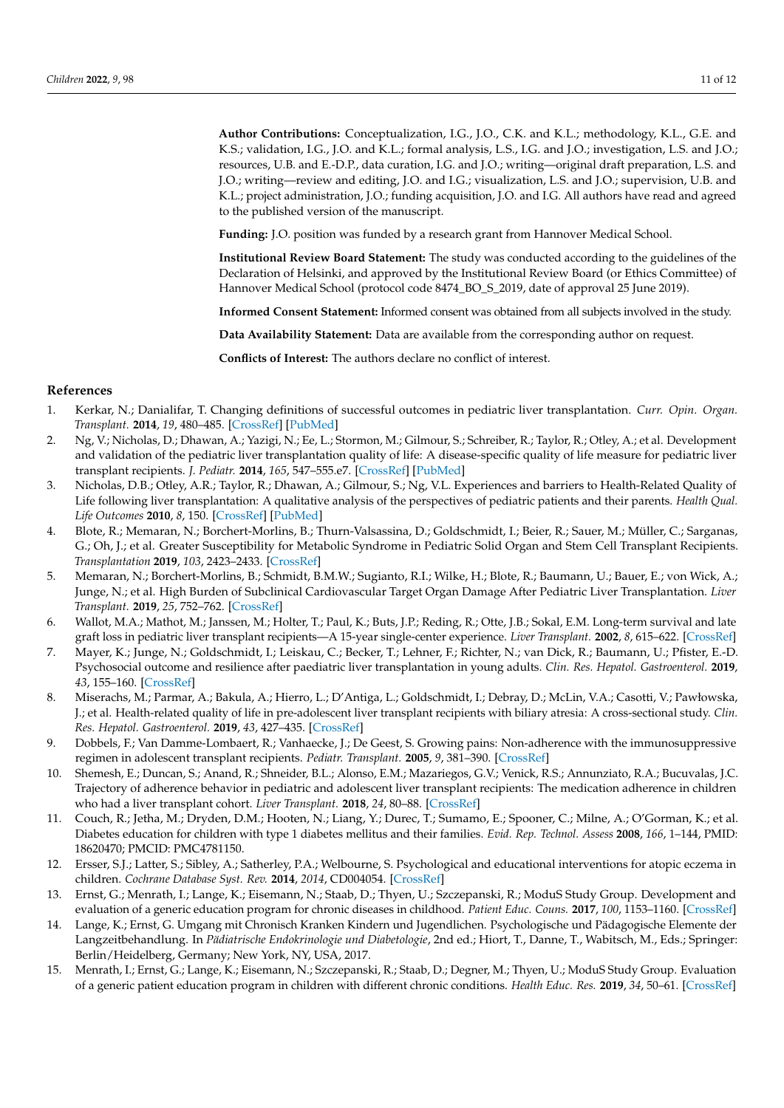**Author Contributions:** Conceptualization, I.G., J.O., C.K. and K.L.; methodology, K.L., G.E. and K.S.; validation, I.G., J.O. and K.L.; formal analysis, L.S., I.G. and J.O.; investigation, L.S. and J.O.; resources, U.B. and E.-D.P., data curation, I.G. and J.O.; writing—original draft preparation, L.S. and J.O.; writing—review and editing, J.O. and I.G.; visualization, L.S. and J.O.; supervision, U.B. and K.L.; project administration, J.O.; funding acquisition, J.O. and I.G. All authors have read and agreed to the published version of the manuscript.

**Funding:** J.O. position was funded by a research grant from Hannover Medical School.

**Institutional Review Board Statement:** The study was conducted according to the guidelines of the Declaration of Helsinki, and approved by the Institutional Review Board (or Ethics Committee) of Hannover Medical School (protocol code 8474\_BO\_S\_2019, date of approval 25 June 2019).

**Informed Consent Statement:** Informed consent was obtained from all subjects involved in the study.

**Data Availability Statement:** Data are available from the corresponding author on request.

**Conflicts of Interest:** The authors declare no conflict of interest.

# **References**

- 1. Kerkar, N.; Danialifar, T. Changing definitions of successful outcomes in pediatric liver transplantation. *Curr. Opin. Organ. Transplant.* **2014**, *19*, 480–485. [CrossRef] [PubMed]
- 2. Ng, V.; Nicholas, D.; Dhawan, A.; Yazigi, N.; Ee, L.; Stormon, M.; Gilmour, S.; Schreiber, R.; Taylor, R.; Otley, A.; et al. Development and validation of the pediatric liver transplantation quality of life: A disease-specific quality of life measure for pediatric liver transplant recipients. *J. Pediatr.* **2014**, *165*, 547–555.e7. [CrossRef] [PubMed]
- 3. Nicholas, D.B.; Otley, A.R.; Taylor, R.; Dhawan, A.; Gilmour, S.; Ng, V.L. Experiences and barriers to Health-Related Quality of Life following liver transplantation: A qualitative analysis of the perspectives of pediatric patients and their parents. *Health Qual. Life Outcomes* **2010**, *8*, 150. [CrossRef] [PubMed]
- 4. Blote, R.; Memaran, N.; Borchert-Morlins, B.; Thurn-Valsassina, D.; Goldschmidt, I.; Beier, R.; Sauer, M.; Müller, C.; Sarganas, G.; Oh, J.; et al. Greater Susceptibility for Metabolic Syndrome in Pediatric Solid Organ and Stem Cell Transplant Recipients. *Transplantation* **2019**, *103*, 2423–2433. [CrossRef]
- 5. Memaran, N.; Borchert-Morlins, B.; Schmidt, B.M.W.; Sugianto, R.I.; Wilke, H.; Blote, R.; Baumann, U.; Bauer, E.; von Wick, A.; Junge, N.; et al. High Burden of Subclinical Cardiovascular Target Organ Damage After Pediatric Liver Transplantation. *Liver Transplant.* **2019**, *25*, 752–762. [CrossRef]
- 6. Wallot, M.A.; Mathot, M.; Janssen, M.; Holter, T.; Paul, K.; Buts, J.P.; Reding, R.; Otte, J.B.; Sokal, E.M. Long-term survival and late graft loss in pediatric liver transplant recipients—A 15-year single-center experience. *Liver Transplant.* **2002**, *8*, 615–622. [CrossRef]
- 7. Mayer, K.; Junge, N.; Goldschmidt, I.; Leiskau, C.; Becker, T.; Lehner, F.; Richter, N.; van Dick, R.; Baumann, U.; Pfister, E.-D. Psychosocial outcome and resilience after paediatric liver transplantation in young adults. *Clin. Res. Hepatol. Gastroenterol.* **2019**, *43*, 155–160. [CrossRef]
- 8. Miserachs, M.; Parmar, A.; Bakula, A.; Hierro, L.; D'Antiga, L.; Goldschmidt, I.; Debray, D.; McLin, V.A.; Casotti, V.; Pawłowska, J.; et al. Health-related quality of life in pre-adolescent liver transplant recipients with biliary atresia: A cross-sectional study. *Clin. Res. Hepatol. Gastroenterol.* **2019**, *43*, 427–435. [CrossRef]
- 9. Dobbels, F.; Van Damme-Lombaert, R.; Vanhaecke, J.; De Geest, S. Growing pains: Non-adherence with the immunosuppressive regimen in adolescent transplant recipients. *Pediatr. Transplant.* **2005**, *9*, 381–390. [CrossRef]
- 10. Shemesh, E.; Duncan, S.; Anand, R.; Shneider, B.L.; Alonso, E.M.; Mazariegos, G.V.; Venick, R.S.; Annunziato, R.A.; Bucuvalas, J.C. Trajectory of adherence behavior in pediatric and adolescent liver transplant recipients: The medication adherence in children who had a liver transplant cohort. *Liver Transplant.* **2018**, *24*, 80–88. [CrossRef]
- 11. Couch, R.; Jetha, M.; Dryden, D.M.; Hooten, N.; Liang, Y.; Durec, T.; Sumamo, E.; Spooner, C.; Milne, A.; O'Gorman, K.; et al. Diabetes education for children with type 1 diabetes mellitus and their families. *Evid. Rep. Technol. Assess* **2008**, *166*, 1–144, PMID: 18620470; PMCID: PMC4781150.
- 12. Ersser, S.J.; Latter, S.; Sibley, A.; Satherley, P.A.; Welbourne, S. Psychological and educational interventions for atopic eczema in children. *Cochrane Database Syst. Rev.* **2014**, *2014*, CD004054. [CrossRef]
- 13. Ernst, G.; Menrath, I.; Lange, K.; Eisemann, N.; Staab, D.; Thyen, U.; Szczepanski, R.; ModuS Study Group. Development and evaluation of a generic education program for chronic diseases in childhood. *Patient Educ. Couns.* **2017**, *100*, 1153–1160. [CrossRef]
- 14. Lange, K.; Ernst, G. Umgang mit Chronisch Kranken Kindern und Jugendlichen. Psychologische und Pädagogische Elemente der Langzeitbehandlung. In *Pädiatrische Endokrinologie und Diabetologie*, 2nd ed.; Hiort, T., Danne, T., Wabitsch, M., Eds.; Springer: Berlin/Heidelberg, Germany; New York, NY, USA, 2017.
- 15. Menrath, I.; Ernst, G.; Lange, K.; Eisemann, N.; Szczepanski, R.; Staab, D.; Degner, M.; Thyen, U.; ModuS Study Group. Evaluation of a generic patient education program in children with different chronic conditions. *Health Educ. Res.* **2019**, *34*, 50–61. [CrossRef]